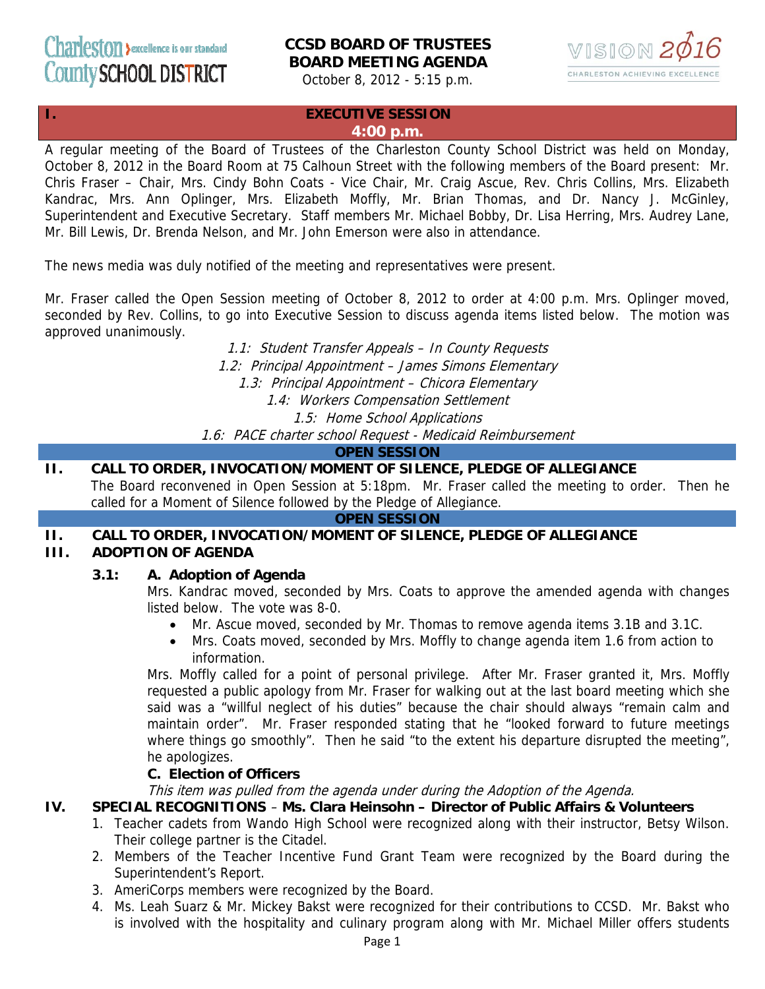# Charlesfon >excellence is our standard **CCSD BOARD OF TRUSTEES BOARD MEETING AGENDA**



October 8, 2012 - 5:15 p.m.

### **I. EXECUTIVE SESSION**

### **4:00 p.m.**

A regular meeting of the Board of Trustees of the Charleston County School District was held on Monday, October 8, 2012 in the Board Room at 75 Calhoun Street with the following members of the Board present: Mr. Chris Fraser – Chair, Mrs. Cindy Bohn Coats - Vice Chair, Mr. Craig Ascue, Rev. Chris Collins, Mrs. Elizabeth Kandrac, Mrs. Ann Oplinger, Mrs. Elizabeth Moffly, Mr. Brian Thomas, and Dr. Nancy J. McGinley, Superintendent and Executive Secretary. Staff members Mr. Michael Bobby, Dr. Lisa Herring, Mrs. Audrey Lane, Mr. Bill Lewis, Dr. Brenda Nelson, and Mr. John Emerson were also in attendance.

The news media was duly notified of the meeting and representatives were present.

Mr. Fraser called the Open Session meeting of October 8, 2012 to order at 4:00 p.m. Mrs. Oplinger moved, seconded by Rev. Collins, to go into Executive Session to discuss agenda items listed below. The motion was approved unanimously.

1.1: Student Transfer Appeals – In County Requests

1.2: Principal Appointment – James Simons Elementary

1.3: Principal Appointment – Chicora Elementary

1.4: Workers Compensation Settlement

1.5: Home School Applications

1.6: PACE charter school Request - Medicaid Reimbursement

#### **OPEN SESSION**

# **II. CALL TO ORDER, INVOCATION/MOMENT OF SILENCE, PLEDGE OF ALLEGIANCE**

The Board reconvened in Open Session at 5:18pm. Mr. Fraser called the meeting to order. Then he called for a Moment of Silence followed by the Pledge of Allegiance.

**OPEN SESSION**

# **II. CALL TO ORDER, INVOCATION/MOMENT OF SILENCE, PLEDGE OF ALLEGIANCE**

## **III. ADOPTION OF AGENDA**

### **3.1: A. Adoption of Agenda**

Mrs. Kandrac moved, seconded by Mrs. Coats to approve the amended agenda with changes listed below. The vote was 8-0.

- Mr. Ascue moved, seconded by Mr. Thomas to remove agenda items 3.1B and 3.1C.
- Mrs. Coats moved, seconded by Mrs. Moffly to change agenda item 1.6 from action to information.

Mrs. Moffly called for a point of personal privilege. After Mr. Fraser granted it, Mrs. Moffly requested a public apology from Mr. Fraser for walking out at the last board meeting which she said was a "willful neglect of his duties" because the chair should always "remain calm and maintain order". Mr. Fraser responded stating that he "looked forward to future meetings where things go smoothly". Then he said "to the extent his departure disrupted the meeting", he apologizes.

### **C. Election of Officers**

This item was pulled from the agenda under during the Adoption of the Agenda.

### **IV. SPECIAL RECOGNITIONS** – **Ms. Clara Heinsohn – Director of Public Affairs & Volunteers**

- 1. Teacher cadets from Wando High School were recognized along with their instructor, Betsy Wilson. Their college partner is the Citadel.
- 2. Members of the Teacher Incentive Fund Grant Team were recognized by the Board during the Superintendent's Report.
- 3. AmeriCorps members were recognized by the Board.
- 4. Ms. Leah Suarz & Mr. Mickey Bakst were recognized for their contributions to CCSD. Mr. Bakst who is involved with the hospitality and culinary program along with Mr. Michael Miller offers students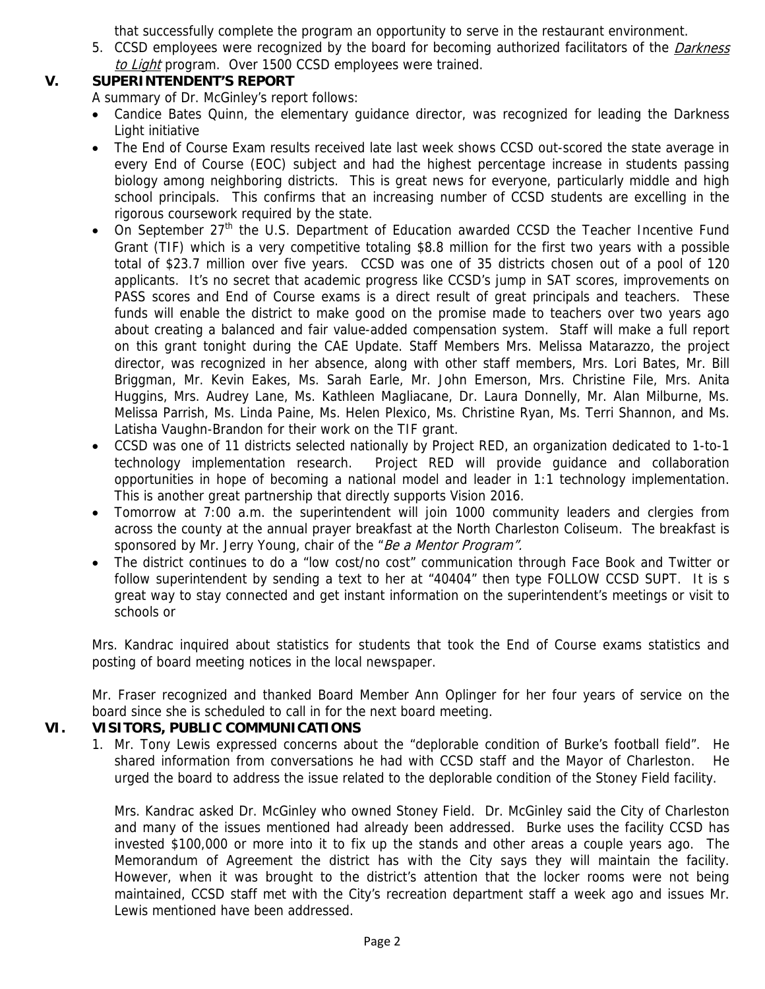that successfully complete the program an opportunity to serve in the restaurant environment.

5. CCSD employees were recognized by the board for becoming authorized facilitators of the *Darkness* to Light program. Over 1500 CCSD employees were trained.

# **V. SUPERINTENDENT'S REPORT**

A summary of Dr. McGinley's report follows:

- Candice Bates Quinn, the elementary guidance director, was recognized for leading the Darkness Light initiative
- The End of Course Exam results received late last week shows CCSD out-scored the state average in every End of Course (EOC) subject and had the highest percentage increase in students passing biology among neighboring districts. This is great news for everyone, particularly middle and high school principals. This confirms that an increasing number of CCSD students are excelling in the rigorous coursework required by the state.
- On September 27<sup>th</sup> the U.S. Department of Education awarded CCSD the Teacher Incentive Fund Grant (TIF) which is a very competitive totaling \$8.8 million for the first two years with a possible total of \$23.7 million over five years. CCSD was one of 35 districts chosen out of a pool of 120 applicants. It's no secret that academic progress like CCSD's jump in SAT scores, improvements on PASS scores and End of Course exams is a direct result of great principals and teachers. These funds will enable the district to make good on the promise made to teachers over two years ago about creating a balanced and fair value-added compensation system. Staff will make a full report on this grant tonight during the CAE Update. Staff Members Mrs. Melissa Matarazzo, the project director, was recognized in her absence, along with other staff members, Mrs. Lori Bates, Mr. Bill Briggman, Mr. Kevin Eakes, Ms. Sarah Earle, Mr. John Emerson, Mrs. Christine File, Mrs. Anita Huggins, Mrs. Audrey Lane, Ms. Kathleen Magliacane, Dr. Laura Donnelly, Mr. Alan Milburne, Ms. Melissa Parrish, Ms. Linda Paine, Ms. Helen Plexico, Ms. Christine Ryan, Ms. Terri Shannon, and Ms. Latisha Vaughn-Brandon for their work on the TIF grant.
- CCSD was one of 11 districts selected nationally by Project RED, an organization dedicated to 1-to-1 technology implementation research. Project RED will provide guidance and collaboration opportunities in hope of becoming a national model and leader in 1:1 technology implementation. This is another great partnership that directly supports Vision 2016.
- Tomorrow at 7:00 a.m. the superintendent will join 1000 community leaders and clergies from across the county at the annual prayer breakfast at the North Charleston Coliseum. The breakfast is sponsored by Mr. Jerry Young, chair of the "Be a Mentor Program".
- The district continues to do a "low cost/no cost" communication through Face Book and Twitter or follow superintendent by sending a text to her at "40404" then type FOLLOW CCSD SUPT. It is s great way to stay connected and get instant information on the superintendent's meetings or visit to schools or

Mrs. Kandrac inquired about statistics for students that took the End of Course exams statistics and posting of board meeting notices in the local newspaper.

Mr. Fraser recognized and thanked Board Member Ann Oplinger for her four years of service on the board since she is scheduled to call in for the next board meeting.

# **VI. VISITORS, PUBLIC COMMUNICATIONS**

1. Mr. Tony Lewis expressed concerns about the "deplorable condition of Burke's football field". He shared information from conversations he had with CCSD staff and the Mayor of Charleston. He urged the board to address the issue related to the deplorable condition of the Stoney Field facility.

Mrs. Kandrac asked Dr. McGinley who owned Stoney Field. Dr. McGinley said the City of Charleston and many of the issues mentioned had already been addressed. Burke uses the facility CCSD has invested \$100,000 or more into it to fix up the stands and other areas a couple years ago. The Memorandum of Agreement the district has with the City says they will maintain the facility. However, when it was brought to the district's attention that the locker rooms were not being maintained, CCSD staff met with the City's recreation department staff a week ago and issues Mr. Lewis mentioned have been addressed.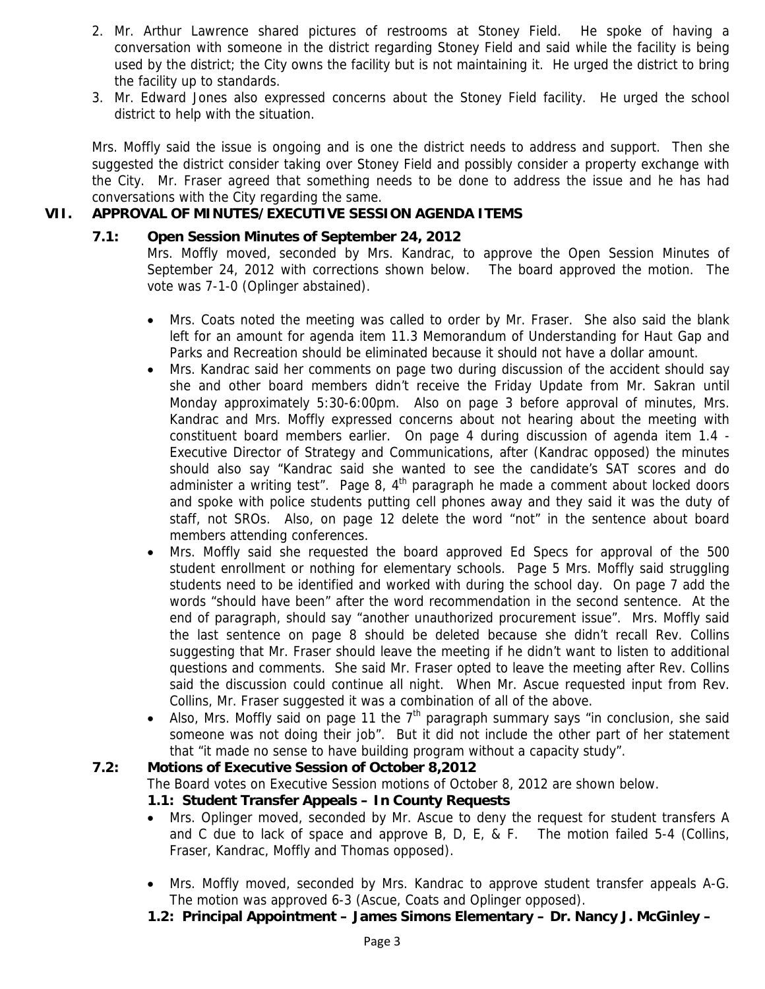- 2. Mr. Arthur Lawrence shared pictures of restrooms at Stoney Field. He spoke of having a conversation with someone in the district regarding Stoney Field and said while the facility is being used by the district; the City owns the facility but is not maintaining it. He urged the district to bring the facility up to standards.
- 3. Mr. Edward Jones also expressed concerns about the Stoney Field facility. He urged the school district to help with the situation.

Mrs. Moffly said the issue is ongoing and is one the district needs to address and support. Then she suggested the district consider taking over Stoney Field and possibly consider a property exchange with the City. Mr. Fraser agreed that something needs to be done to address the issue and he has had conversations with the City regarding the same.

# **VII. APPROVAL OF MINUTES/EXECUTIVE SESSION AGENDA ITEMS**

### **7.1: Open Session Minutes of September 24, 2012**

Mrs. Moffly moved, seconded by Mrs. Kandrac, to approve the Open Session Minutes of September 24, 2012 with corrections shown below. The board approved the motion. The vote was 7-1-0 (Oplinger abstained).

- Mrs. Coats noted the meeting was called to order by Mr. Fraser. She also said the blank left for an amount for agenda item 11.3 Memorandum of Understanding for Haut Gap and Parks and Recreation should be eliminated because it should not have a dollar amount.
- Mrs. Kandrac said her comments on page two during discussion of the accident should say she and other board members didn't receive the Friday Update from Mr. Sakran until Monday approximately 5:30-6:00pm. Also on page 3 before approval of minutes, Mrs. Kandrac and Mrs. Moffly expressed concerns about not hearing about the meeting with constituent board members earlier. On page 4 during discussion of agenda item 1.4 - Executive Director of Strategy and Communications, after (Kandrac opposed) the minutes should also say "Kandrac said she wanted to see the candidate's SAT scores and do administer a writing test". Page 8,  $4<sup>th</sup>$  paragraph he made a comment about locked doors and spoke with police students putting cell phones away and they said it was the duty of staff, not SROs. Also, on page 12 delete the word "not" in the sentence about board members attending conferences.
- Mrs. Moffly said she requested the board approved Ed Specs for approval of the 500 student enrollment or nothing for elementary schools. Page 5 Mrs. Moffly said struggling students need to be identified and worked with during the school day. On page 7 add the words "should have been" after the word recommendation in the second sentence. At the end of paragraph, should say "another unauthorized procurement issue". Mrs. Moffly said the last sentence on page 8 should be deleted because she didn't recall Rev. Collins suggesting that Mr. Fraser should leave the meeting if he didn't want to listen to additional questions and comments. She said Mr. Fraser opted to leave the meeting after Rev. Collins said the discussion could continue all night. When Mr. Ascue requested input from Rev. Collins, Mr. Fraser suggested it was a combination of all of the above.
- Also, Mrs. Moffly said on page 11 the  $7<sup>th</sup>$  paragraph summary says "in conclusion, she said someone was not doing their job". But it did not include the other part of her statement that "it made no sense to have building program without a capacity study".

### **7.2: Motions of Executive Session of October 8,2012**

The Board votes on Executive Session motions of October 8, 2012 are shown below.

### **1.1: Student Transfer Appeals – In County Requests**

- Mrs. Oplinger moved, seconded by Mr. Ascue to deny the request for student transfers A and C due to lack of space and approve B, D, E, & F. The motion failed 5-4 (Collins, Fraser, Kandrac, Moffly and Thomas opposed).
- Mrs. Moffly moved, seconded by Mrs. Kandrac to approve student transfer appeals A-G. The motion was approved 6-3 (Ascue, Coats and Oplinger opposed).
- **1.2: Principal Appointment James Simons Elementary Dr. Nancy J. McGinley**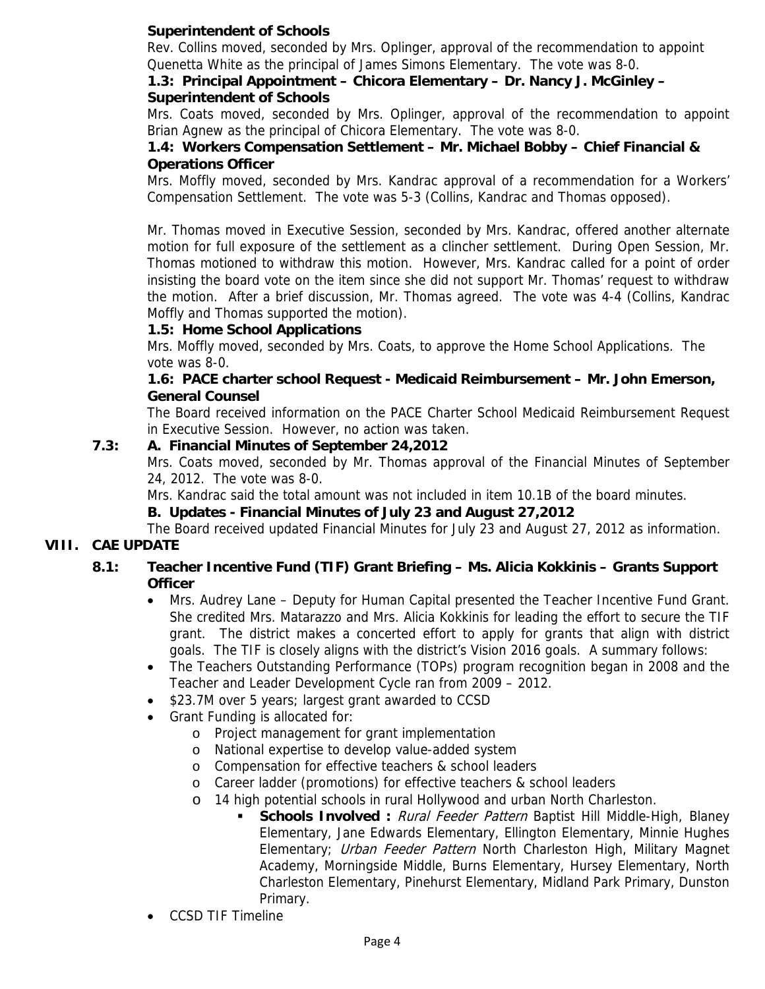# **Superintendent of Schools**

Rev. Collins moved, seconded by Mrs. Oplinger, approval of the recommendation to appoint Quenetta White as the principal of James Simons Elementary. The vote was 8-0.

#### **1.3: Principal Appointment – Chicora Elementary – Dr. Nancy J. McGinley – Superintendent of Schools**

Mrs. Coats moved, seconded by Mrs. Oplinger, approval of the recommendation to appoint Brian Agnew as the principal of Chicora Elementary. The vote was 8-0.

## **1.4: Workers Compensation Settlement – Mr. Michael Bobby – Chief Financial & Operations Officer**

Mrs. Moffly moved, seconded by Mrs. Kandrac approval of a recommendation for a Workers' Compensation Settlement. The vote was 5-3 (Collins, Kandrac and Thomas opposed).

Mr. Thomas moved in Executive Session, seconded by Mrs. Kandrac, offered another alternate motion for full exposure of the settlement as a clincher settlement. During Open Session, Mr. Thomas motioned to withdraw this motion. However, Mrs. Kandrac called for a point of order insisting the board vote on the item since she did not support Mr. Thomas' request to withdraw the motion. After a brief discussion, Mr. Thomas agreed. The vote was 4-4 (Collins, Kandrac Moffly and Thomas supported the motion).

## **1.5: Home School Applications**

Mrs. Moffly moved, seconded by Mrs. Coats, to approve the Home School Applications. The vote was 8-0.

## **1.6: PACE charter school Request - Medicaid Reimbursement – Mr. John Emerson, General Counsel**

The Board received information on the PACE Charter School Medicaid Reimbursement Request in Executive Session. However, no action was taken.

## **7.3: A. Financial Minutes of September 24,2012**

Mrs. Coats moved, seconded by Mr. Thomas approval of the Financial Minutes of September 24, 2012. The vote was 8-0.

Mrs. Kandrac said the total amount was not included in item 10.1B of the board minutes.

### **B. Updates - Financial Minutes of July 23 and August 27,2012**

The Board received updated Financial Minutes for July 23 and August 27, 2012 as information.

# **VIII. CAE UPDATE**

## **8.1: Teacher Incentive Fund (TIF) Grant Briefing – Ms. Alicia Kokkinis – Grants Support Officer**

- Mrs. Audrey Lane Deputy for Human Capital presented the Teacher Incentive Fund Grant. She credited Mrs. Matarazzo and Mrs. Alicia Kokkinis for leading the effort to secure the TIF grant. The district makes a concerted effort to apply for grants that align with district goals. The TIF is closely aligns with the district's Vision 2016 goals. A summary follows:
- The Teachers Outstanding Performance (TOPs) program recognition began in 2008 and the Teacher and Leader Development Cycle ran from 2009 – 2012.
- \$23.7M over 5 years; largest grant awarded to CCSD
- Grant Funding is allocated for:
	- o Project management for grant implementation
	- o National expertise to develop value-added system
	- o Compensation for effective teachers & school leaders
	- o Career ladder (promotions) for effective teachers & school leaders
	- o 14 high potential schools in rural Hollywood and urban North Charleston.
		- **Schools Involved** : *Rural Feeder Pattern* Baptist Hill Middle-High, Blaney Elementary, Jane Edwards Elementary, Ellington Elementary, Minnie Hughes Elementary; Urban Feeder Pattern North Charleston High, Military Magnet Academy, Morningside Middle, Burns Elementary, Hursey Elementary, North Charleston Elementary, Pinehurst Elementary, Midland Park Primary, Dunston Primary.
- CCSD TIF Timeline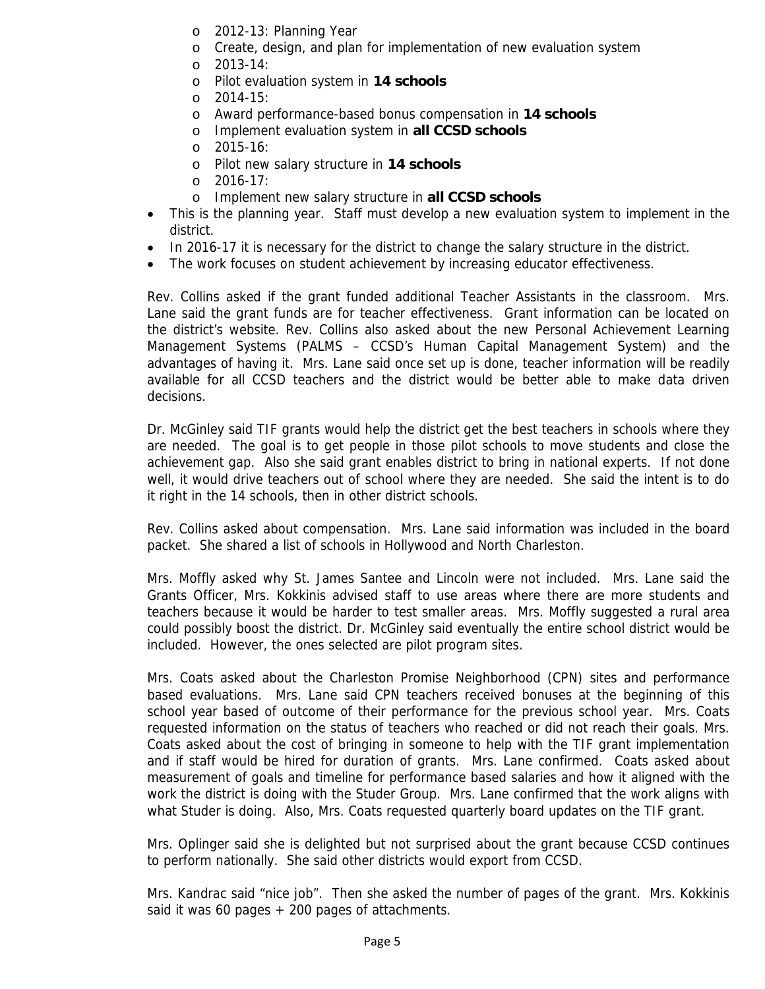- o 2012-13: Planning Year
- o Create, design, and plan for implementation of new evaluation system
- o 2013-14:
- o Pilot evaluation system in **14 schools**
- o 2014-15:
- o Award performance-based bonus compensation in **14 schools**
- o Implement evaluation system in **all CCSD schools**
- o 2015-16:
- o Pilot new salary structure in **14 schools**
- o 2016-17:
- o Implement new salary structure in **all CCSD schools**
- This is the planning year. Staff must develop a new evaluation system to implement in the district.
- In 2016-17 it is necessary for the district to change the salary structure in the district.
- The work focuses on student achievement by increasing educator effectiveness.

Rev. Collins asked if the grant funded additional Teacher Assistants in the classroom. Mrs. Lane said the grant funds are for teacher effectiveness. Grant information can be located on the district's website. Rev. Collins also asked about the new Personal Achievement Learning Management Systems (PALMS – CCSD's Human Capital Management System) and the advantages of having it. Mrs. Lane said once set up is done, teacher information will be readily available for all CCSD teachers and the district would be better able to make data driven decisions.

Dr. McGinley said TIF grants would help the district get the best teachers in schools where they are needed. The goal is to get people in those pilot schools to move students and close the achievement gap. Also she said grant enables district to bring in national experts. If not done well, it would drive teachers out of school where they are needed. She said the intent is to do it right in the 14 schools, then in other district schools.

Rev. Collins asked about compensation. Mrs. Lane said information was included in the board packet. She shared a list of schools in Hollywood and North Charleston.

Mrs. Moffly asked why St. James Santee and Lincoln were not included. Mrs. Lane said the Grants Officer, Mrs. Kokkinis advised staff to use areas where there are more students and teachers because it would be harder to test smaller areas. Mrs. Moffly suggested a rural area could possibly boost the district. Dr. McGinley said eventually the entire school district would be included. However, the ones selected are pilot program sites.

Mrs. Coats asked about the Charleston Promise Neighborhood (CPN) sites and performance based evaluations. Mrs. Lane said CPN teachers received bonuses at the beginning of this school year based of outcome of their performance for the previous school year. Mrs. Coats requested information on the status of teachers who reached or did not reach their goals. Mrs. Coats asked about the cost of bringing in someone to help with the TIF grant implementation and if staff would be hired for duration of grants. Mrs. Lane confirmed. Coats asked about measurement of goals and timeline for performance based salaries and how it aligned with the work the district is doing with the Studer Group. Mrs. Lane confirmed that the work aligns with what Studer is doing. Also, Mrs. Coats requested quarterly board updates on the TIF grant.

Mrs. Oplinger said she is delighted but not surprised about the grant because CCSD continues to perform nationally. She said other districts would export from CCSD.

Mrs. Kandrac said "nice job". Then she asked the number of pages of the grant. Mrs. Kokkinis said it was 60 pages  $+$  200 pages of attachments.